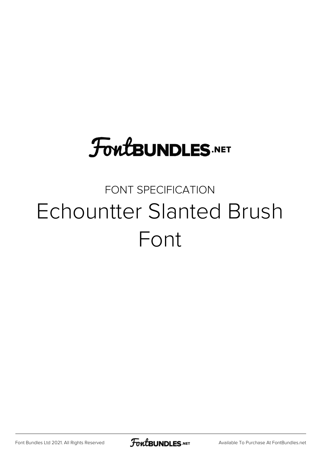# **FoutBUNDLES.NET**

## FONT SPECIFICATION Echountter Slanted Brush Font

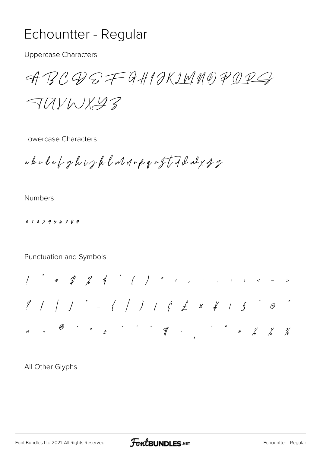### Echountter - Regular

**Uppercase Characters** 

ABCQSFGHIOKIMNOPQRG

TUYWX43

Lowercase Characters

abelet ghijkladop griffadaly g

**Numbers** 

0123456789

Punctuation and Symbols

 $1$  [ | ]  $^*$  - { | } |  $\zeta$   $f$   $x$   $f$   $s$   $^*$   $\circ$   $^*$ 

All Other Glyphs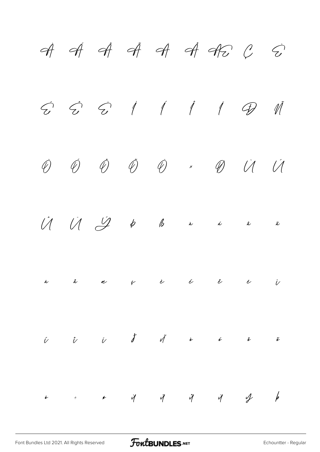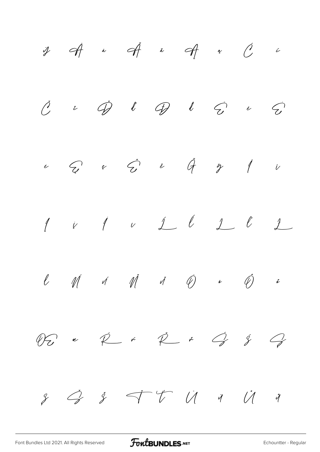$\begin{array}{ccccccccccccc} \mathcal{Y} & & \mathcal{A} & & \dot{\ast} & & \mathcal{A} & & \dot{\ast} & & \mathcal{A} & & \dot{\ast} & & \mathcal{C} \end{array}$  $\hat{c}$  $\ddot{\mathscr{D}}$  $l$   $q$   $l$   $q$  $\tilde{\mathcal{L}}$  $\overline{\mathcal{C}}$  $\check{\mathcal{L}}$  $\tilde{\mathcal{C}}$  $\epsilon$   $\ddot{q}$  $\epsilon$   $\tilde{C}$  $\overline{1}$  $\mathcal{L}$  $\dot{\mathcal{E}}$  $\mathring{\mathscr{J}}$  $\dot{\nu}$  $1$   $\nu$   $1$   $0$   $1$   $0$  $\downarrow$  $\sqrt{ }$  $\dot{\mathcal{V}}$  $\hat{\mathscr{D}}$  $\ell$  $M$  is  $M$  is  $\overline{\varphi}$  $\tilde{c}$  $\bar{\mathbf{e}}$  $\acute{\mathcal{S}}$  $\varphi$  $\check{r}$   $\overrightarrow{p}$   $\check{r}$   $\overrightarrow{q}$  $\mathcal{G}$  $\mathscr{D}$ e  $\begin{picture}(60,6) \put(0,0){\vector(1,0){30}} \put(15,0){\vector(1,0){30}} \put(15,0){\vector(1,0){30}} \put(15,0){\vector(1,0){30}} \put(15,0){\vector(1,0){30}} \put(15,0){\vector(1,0){30}} \put(15,0){\vector(1,0){30}} \put(15,0){\vector(1,0){30}} \put(15,0){\vector(1,0){30}} \put(15,0){\vector(1,0){30}} \put(15,0){\vector(1,0){30}} \put(15,0){\vector(1,$  $\overrightarrow{a}$  $\check{\mathscr{S}}$  $\mathscr{S}$  $\mathcal{Y}$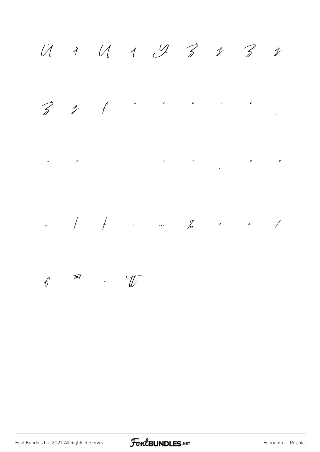U 1 U 1 9 3 3 3 3

 $\mathbf{A} = \left\{ \begin{array}{ll} \mathbf{A} & \mathbf{A} & \mathbf{A} \\ \mathbf{A} & \mathbf{A} & \mathbf{A} \\ \mathbf{A} & \mathbf{A} & \mathbf{A} \end{array} \right. \quad \text{and} \quad \mathbf{A} = \left\{ \begin{array}{ll} \mathbf{A} & \mathbf{A} & \mathbf{A} \\ \mathbf{A} & \mathbf{A} & \mathbf{A} \\ \mathbf{A} & \mathbf{A} & \mathbf{A} \end{array} \right. \quad \text{and} \quad \mathbf{A} = \left\{ \begin{array}{ll} \mathbf{A} & \$  $\begin{array}{ccccc} \zeta & \zeta & \zeta \end{array}$  $\overline{c}$ 

 $\label{eq:2.1} \begin{split} \frac{1}{\sqrt{2\pi}}\left(\frac{1}{\sqrt{2\pi}}\right)^{2} & = \frac{1}{\sqrt{2\pi}}\left(\frac{1}{\sqrt{2\pi}}\right)^{2} \left(\frac{1}{\sqrt{2\pi}}\right)^{2} & = \frac{1}{\sqrt{2\pi}}\left(\frac{1}{\sqrt{2\pi}}\right)^{2} \left(\frac{1}{\sqrt{2\pi}}\right)^{2} & = \frac{1}{\sqrt{2\pi}}\left(\frac{1}{\sqrt{2\pi}}\right)^{2} \left(\frac{1}{\sqrt{2\pi}}\right)^{2} & = \frac{1}{\sqrt{2\$  $\mathcal{N}$  $\mathbf{u} = \mathbf{u} \times \mathbf{v}$ 

, and  $\frac{1}{2}$  , and  $\frac{1}{2}$  , and  $\frac{1}{2}$  , and  $\frac{1}{2}$  , and  $\frac{1}{2}$  , and  $\frac{1}{2}$  , and  $\frac{1}{2}$ 

#### $-\frac{1}{4}$  $\widetilde{\mathcal{W}}$  $f$

Font Bundles Ltd 2021. All Rights Reserved

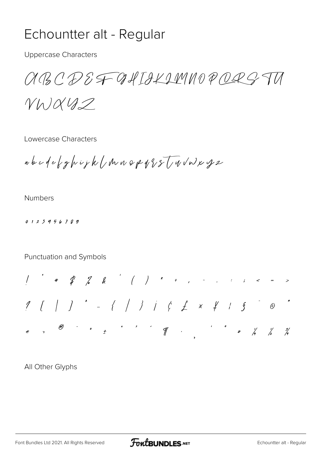## Echountter alt - Regular

**Uppercase Characters** 

aBCDEF GAITLAMNOPORS TU

 $V h)042$ 

Lowercase Characters

abcdefghijk/Muspq{sTu/wxy2

**Numbers** 

0123456789

Punctuation and Symbols

 $1$  [ | ]  $\qquad -$  { | } |  $\qquad \qquad +$  x  $\qquad \qquad +$  's  $\qquad \qquad \circ$  $\frac{3}{4}$ 

All Other Glyphs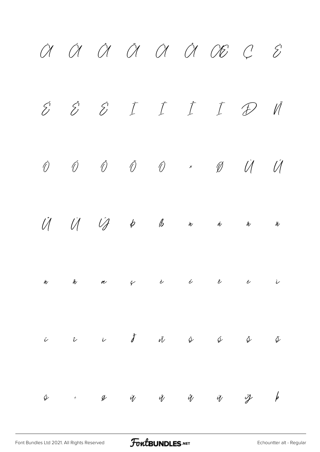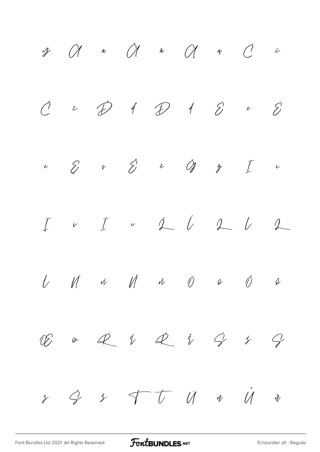$\tilde{a}$  and  $\tilde{a}$  and  $\tilde{a}$  and  $\tilde{a}$  and  $\tilde{a}$  and  $\tilde{a}$  and  $\tilde{a}$  and  $\tilde{a}$  and  $\tilde{a}$  and  $\tilde{a}$  and  $\tilde{a}$  and  $\tilde{a}$  and  $\tilde{a}$  and  $\tilde{a}$  and  $\tilde{a}$  and  $\tilde{a}$  and  $\tilde{a}$  and  $\dot{\mathcal{O}}$ y.  $\begin{array}{ccccc} \textbf{1} & \textbf{1} & \textbf{1} & \textbf{1} & \textbf{1} & \textbf{1} & \textbf{1} & \textbf{1} & \textbf{1} & \textbf{1} & \textbf{1} & \textbf{1} & \textbf{1} & \textbf{1} & \textbf{1} & \textbf{1} & \textbf{1} & \textbf{1} & \textbf{1} & \textbf{1} & \textbf{1} & \textbf{1} & \textbf{1} & \textbf{1} & \textbf{1} & \textbf{1} & \textbf{1} & \textbf{1} & \textbf{1} & \textbf{1} & \text$  $\tilde{C}$  $\dot{\mathcal{D}}$  $\hat{\mathcal{E}}$  $\zeta$  $\tilde{\mathcal{C}}$  $\int$  $\tilde{\mathcal{E}}$  $\hat{\mathcal{E}}$  $\check{\mathscr{O}}$  $\check{\mathscr{C}}$  $\epsilon$  $\mathring{\mathscr{J}}$  $\dot{\mathcal{C}}$  $\tilde{\nu}$  $\begin{matrix} \cdot & \hat{\psi} & \hat{\psi} & \hat{\psi} & \hat{\psi} \end{matrix}$  $\int$  $\dot{\mathbf{r}}$   $\int$  $\underline{\mathcal{L}}$  $\frac{1}{2}$  $\check{\mathscr{N}}$  and  $\check{\mathscr{N}}$  $t$  $\mathbb{N}$  $\hat{\mathcal{O}}$  $\acute{\psi}$  $\bar{\mathcal{Y}}$  $\dot{\mathcal{L}}$   $\dot{\mathcal{V}}$   $\dot{\mathcal{L}}$   $\dot{\mathcal{V}}$   $\dot{\mathcal{G}}$  $\mathscr{D}$  $\acute{\mathcal{S}}$  $\mathcal{G}$  $\chi$  $\vec{\tau}$   $\vec{\tau}$   $\vec{u}$  $\psi$   $\dot{U}$  $\dot{Q}$  $\zeta$  $\gamma$  $\mathring{V}$ 

FoutBUNDLES.NET